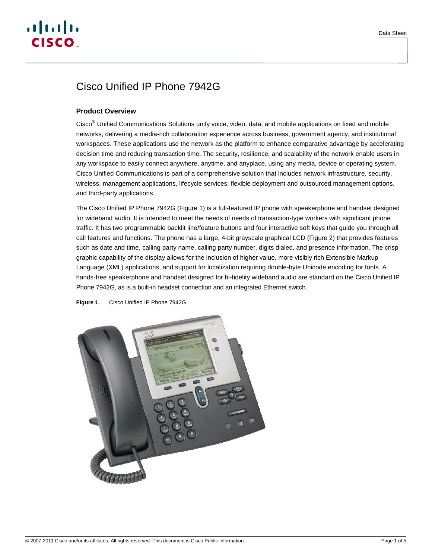# $(1)$   $(1)$   $(1)$ CISCO.

## Cisco Unified IP Phone 7942G

## **Product Overview**

Cisco<sup>®</sup> Unified Communications Solutions unify voice, video, data, and mobile applications on fixed and mobile networks, delivering a media-rich collaboration experience across business, government agency, and institutional workspaces. These applications use the network as the platform to enhance comparative advantage by accelerating decision time and reducing transaction time. The security, resilience, and scalability of the network enable users in any workspace to easily connect anywhere, anytime, and anyplace, using any media, device or operating system. Cisco Unified Communications is part of a comprehensive solution that includes network infrastructure, security, wireless, management applications, lifecycle services, flexible deployment and outsourced management options, and third-party applications.

The Cisco Unified IP Phone 7942G (Figure 1) is a full-featured IP phone with speakerphone and handset designed for wideband audio. It is intended to meet the needs of needs of transaction-type workers with significant phone traffic. It has two programmable backlit line/feature buttons and four interactive soft keys that guide you through all call features and functions. The phone has a large, 4-bit grayscale graphical LCD (Figure 2) that provides features such as date and time, calling party name, calling party number, digits dialed, and presence information. The crisp graphic capability of the display allows for the inclusion of higher value, more visibly rich Extensible Markup Language (XML) applications, and support for localization requiring double-byte Unicode encoding for fonts. A hands-free speakerphone and handset designed for hi-fidelity wideband audio are standard on the Cisco Unified IP Phone 7942G, as is a built-in headset connection and an integrated Ethernet switch.



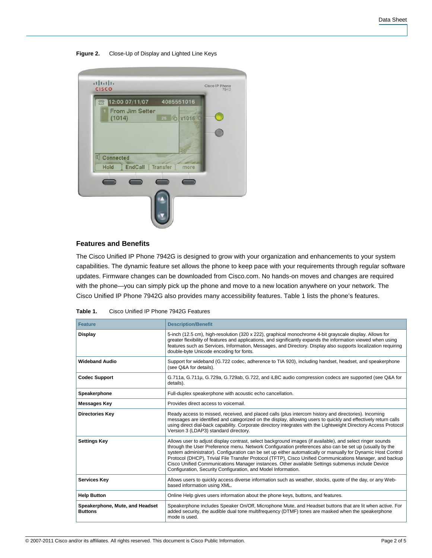#### **Figure 2.** Close-Up of Display and Lighted Line Keys

| $\mathbb{Z}$ | 12:00 07/11/07  | 4085551016 |      |  |
|--------------|-----------------|------------|------|--|
| (1014)       | From Jim Setter | 26 6 x1016 |      |  |
|              |                 |            |      |  |
|              |                 |            |      |  |
| Connected    |                 |            |      |  |
| <b>Hold</b>  | <b>EndCall</b>  | Transfer   | more |  |
|              |                 |            |      |  |
|              |                 |            |      |  |

## **Features and Benefits**

The Cisco Unified IP Phone 7942G is designed to grow with your organization and enhancements to your system capabilities. The dynamic feature set allows the phone to keep pace with your requirements through regular software updates. Firmware changes can be downloaded from Cisco.com. No hands-on moves and changes are required with the phone—you can simply pick up the phone and move to a new location anywhere on your network. The Cisco Unified IP Phone 7942G also provides many accessibility features. Table 1 lists the phone's features.

| <b>Feature</b>                                    | <b>Description/Benefit</b>                                                                                                                                                                                                                                                                                                                                                                                                                                                                                                                                                                                           |
|---------------------------------------------------|----------------------------------------------------------------------------------------------------------------------------------------------------------------------------------------------------------------------------------------------------------------------------------------------------------------------------------------------------------------------------------------------------------------------------------------------------------------------------------------------------------------------------------------------------------------------------------------------------------------------|
| <b>Display</b>                                    | 5-inch (12.5 cm), high-resolution (320 x 222), graphical monochrome 4-bit grayscale display. Allows for<br>greater flexibility of features and applications, and significantly expands the information viewed when using<br>features such as Services, Information, Messages, and Directory. Display also supports localization requiring<br>double-byte Unicode encoding for fonts.                                                                                                                                                                                                                                 |
| <b>Wideband Audio</b>                             | Support for wideband (G.722 codec, adherence to TIA 920), including handset, headset, and speakerphone<br>(see Q&A for details).                                                                                                                                                                                                                                                                                                                                                                                                                                                                                     |
| <b>Codec Support</b>                              | G.711a, G.711µ, G.729a, G.729ab, G.722, and iLBC audio compression codecs are supported (see Q&A for<br>details).                                                                                                                                                                                                                                                                                                                                                                                                                                                                                                    |
| Speakerphone                                      | Full-duplex speakerphone with acoustic echo cancellation.                                                                                                                                                                                                                                                                                                                                                                                                                                                                                                                                                            |
| Messages Key                                      | Provides direct access to voicemail.                                                                                                                                                                                                                                                                                                                                                                                                                                                                                                                                                                                 |
| <b>Directories Key</b>                            | Ready access to missed, received, and placed calls (plus intercom history and directories). Incoming<br>messages are identified and categorized on the display, allowing users to quickly and effectively return calls<br>using direct dial-back capability. Corporate directory integrates with the Lightweight Directory Access Protocol<br>Version 3 (LDAP3) standard directory.                                                                                                                                                                                                                                  |
| <b>Settings Key</b>                               | Allows user to adjust display contrast, select background images (if available), and select ringer sounds<br>through the User Preference menu. Network Configuration preferences also can be set up (usually by the<br>system administrator). Configuration can be set up either automatically or manually for Dynamic Host Control<br>Protocol (DHCP), Trivial File Transfer Protocol (TFTP), Cisco Unified Communications Manager, and backup<br>Cisco Unified Communications Manager instances. Other available Settings submenus include Device<br>Configuration, Security Configuration, and Model Information. |
| <b>Services Key</b>                               | Allows users to quickly access diverse information such as weather, stocks, quote of the day, or any Web-<br>based information using XML.                                                                                                                                                                                                                                                                                                                                                                                                                                                                            |
| <b>Help Button</b>                                | Online Help gives users information about the phone keys, buttons, and features.                                                                                                                                                                                                                                                                                                                                                                                                                                                                                                                                     |
| Speakerphone, Mute, and Headset<br><b>Buttons</b> | Speakerphone includes Speaker On/Off, Microphone Mute, and Headset buttons that are lit when active. For<br>added security, the audible dual tone multifrequency (DTMF) tones are masked when the speakerphone<br>mode is used.                                                                                                                                                                                                                                                                                                                                                                                      |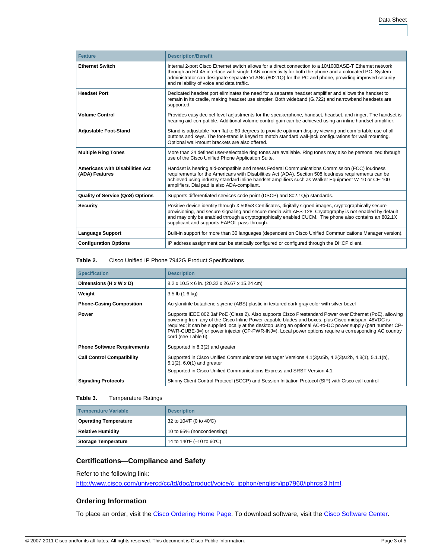| <b>Feature</b>                                           | <b>Description/Benefit</b>                                                                                                                                                                                                                                                                                                                                                 |
|----------------------------------------------------------|----------------------------------------------------------------------------------------------------------------------------------------------------------------------------------------------------------------------------------------------------------------------------------------------------------------------------------------------------------------------------|
| <b>Ethernet Switch</b>                                   | Internal 2-port Cisco Ethernet switch allows for a direct connection to a 10/100BASE-T Ethernet network<br>through an RJ-45 interface with single LAN connectivity for both the phone and a colocated PC. System<br>administrator can designate separate VLANs (802.1Q) for the PC and phone, providing improved security<br>and reliability of voice and data traffic.    |
| <b>Headset Port</b>                                      | Dedicated headset port eliminates the need for a separate headset amplifier and allows the handset to<br>remain in its cradle, making headset use simpler. Both wideband (G.722) and narrowband headsets are<br>supported.                                                                                                                                                 |
| <b>Volume Control</b>                                    | Provides easy decibel-level adjustments for the speakerphone, handset, headset, and ringer. The handset is<br>hearing aid-compatible. Additional volume control gain can be achieved using an inline handset amplifier.                                                                                                                                                    |
| <b>Adjustable Foot-Stand</b>                             | Stand is adjustable from flat to 60 degrees to provide optimum display viewing and comfortable use of all<br>buttons and keys. The foot-stand is keyed to match standard wall-jack configurations for wall mounting.<br>Optional wall-mount brackets are also offered.                                                                                                     |
| <b>Multiple Ring Tones</b>                               | More than 24 defined user-selectable ring tones are available. Ring tones may also be personalized through<br>use of the Cisco Unified Phone Application Suite.                                                                                                                                                                                                            |
| <b>Americans with Disabilities Act</b><br>(ADA) Features | Handset is hearing aid-compatible and meets Federal Communications Commission (FCC) loudness<br>requirements for the Americans with Disabilities Act (ADA). Section 508 loudness requirements can be<br>achieved using industry-standard inline handset amplifiers such as Walker Equipment W-10 or CE-100<br>amplifiers. Dial pad is also ADA-compliant.                  |
| <b>Quality of Service (QoS) Options</b>                  | Supports differentiated services code point (DSCP) and 802.1Q/p standards.                                                                                                                                                                                                                                                                                                 |
| <b>Security</b>                                          | Positive device identity through X.509v3 Certificates, digitally signed images, cryptographically secure<br>provisioning, and secure signaling and secure media with AES-128. Cryptography is not enabled by default<br>and may only be enabled through a cryptographically enabled CUCM. The phone also contains an 802.1X<br>supplicant and supports EAPOL pass-through. |
| <b>Language Support</b>                                  | Built-in support for more than 30 languages (dependent on Cisco Unified Communications Manager version).                                                                                                                                                                                                                                                                   |
| <b>Configuration Options</b>                             | IP address assignment can be statically configured or configured through the DHCP client.                                                                                                                                                                                                                                                                                  |

#### **Table 2.** Cisco Unified IP Phone 7942G Product Specifications

| <b>Specification</b>               | <b>Description</b>                                                                                                                                                                                                                                                                                                                                                                                                                                            |
|------------------------------------|---------------------------------------------------------------------------------------------------------------------------------------------------------------------------------------------------------------------------------------------------------------------------------------------------------------------------------------------------------------------------------------------------------------------------------------------------------------|
| Dimensions (H x W x D)             | 8.2 x 10.5 x 6 in. (20.32 x 26.67 x 15.24 cm)                                                                                                                                                                                                                                                                                                                                                                                                                 |
| Weight                             | $3.5$ lb $(1.6$ kg)                                                                                                                                                                                                                                                                                                                                                                                                                                           |
| <b>Phone-Casing Composition</b>    | Acrylonitrile butadiene styrene (ABS) plastic in textured dark gray color with silver bezel                                                                                                                                                                                                                                                                                                                                                                   |
| <b>Power</b>                       | Supports IEEE 802.3af PoE (Class 2). Also supports Cisco Prestandard Power over Ethernet (PoE), allowing<br>powering from any of the Cisco Inline Power-capable blades and boxes, plus Cisco midspan. 48VDC is<br>required; it can be supplied locally at the desktop using an optional AC-to-DC power supply (part number CP-<br>PWR-CUBE-3=) or power injector (CP-PWR-INJ=). Local power options require a corresponding AC country<br>cord (see Table 6). |
| <b>Phone Software Requirements</b> | Supported in 8.3(2) and greater                                                                                                                                                                                                                                                                                                                                                                                                                               |
| <b>Call Control Compatibility</b>  | Supported in Cisco Unified Communications Manager Versions 4.1(3)sr5b, 4.2(3)sr2b, 4.3(1), 5.1.1(b),<br>$5.1(2)$ , $6.0(1)$ and greater<br>Supported in Cisco Unified Communications Express and SRST Version 4.1                                                                                                                                                                                                                                             |
| <b>Signaling Protocols</b>         | Skinny Client Control Protocol (SCCP) and Session Initiation Protocol (SIP) with Cisco call control                                                                                                                                                                                                                                                                                                                                                           |

#### **Table 3.** Temperature Ratings

| Temperature Variable         | <b>Description</b>         |
|------------------------------|----------------------------|
| <b>Operating Temperature</b> | 32 to 104F (0 to 40°C)     |
| <b>Relative Humidity</b>     | 10 to 95% (noncondensing)  |
| <b>Storage Temperature</b>   | 14 to 140 F (-10 to 60 °C) |

## **Certifications—Compliance and Safety**

Refer to the following link:

[http://www.cisco.com/univercd/cc/td/doc/product/voice/c\\_ipphon/english/ipp7960/iphrcsi3.html](http://www.cisco.com/univercd/cc/td/doc/product/voice/c_ipphon/english/ipp7960/iphrcsi3.html).

## **Ordering Information**

To place an order, visit the [Cisco Ordering Home Page](http://www.cisco.com/web/ordering/or13/or8/order_customer_help_how_to_order_listing.html). To download software, visit the [Cisco Software Center.](http://www.cisco.com/public/sw-center/)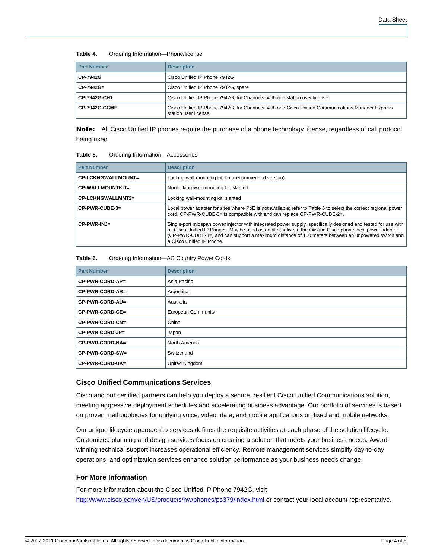#### **Table 4.** Ordering Information—Phone/license

| <b>Part Number</b>   | <b>Description</b>                                                                                                        |
|----------------------|---------------------------------------------------------------------------------------------------------------------------|
| CP-7942G             | Cisco Unified IP Phone 7942G                                                                                              |
| CP-7942G=            | Cisco Unified IP Phone 7942G, spare                                                                                       |
| CP-7942G-CH1         | Cisco Unified IP Phone 7942G, for Channels, with one station user license                                                 |
| <b>CP-7942G-CCME</b> | Cisco Unified IP Phone 7942G, for Channels, with one Cisco Unified Communications Manager Express<br>station user license |

Note: All Cisco Unified IP phones require the purchase of a phone technology license, regardless of call protocol being used.

#### **Table 5.** Ordering Information—Accessories

| <b>Part Number</b>        | <b>Description</b>                                                                                                                                                                                                                                                                                                                                             |
|---------------------------|----------------------------------------------------------------------------------------------------------------------------------------------------------------------------------------------------------------------------------------------------------------------------------------------------------------------------------------------------------------|
| <b>CP-LCKNGWALLMOUNT=</b> | Locking wall-mounting kit, flat (recommended version)                                                                                                                                                                                                                                                                                                          |
| CP-WALLMOUNTKIT=          | Nonlocking wall-mounting kit, slanted                                                                                                                                                                                                                                                                                                                          |
| CP-LCKNGWALLMNT2=         | Locking wall-mounting kit, slanted                                                                                                                                                                                                                                                                                                                             |
| CP-PWR-CUBE-3=            | Local power adapter for sites where PoE is not available; refer to Table 6 to select the correct regional power<br>cord. CP-PWR-CUBE-3= is compatible with and can replace CP-PWR-CUBE-2=.                                                                                                                                                                     |
| $CP-PWR-INJ=$             | Single-port midspan power injector with integrated power supply, specifically designed and tested for use with<br>all Cisco Unified IP Phones. May be used as an alternative to the existing Cisco phone local power adapter<br>(CP-PWR-CUBE-3=) and can support a maximum distance of 100 meters between an unpowered switch and<br>a Cisco Unified IP Phone. |

#### **Table 6.** Ordering Information—AC Country Power Cords

| <b>Part Number</b> | <b>Description</b>        |
|--------------------|---------------------------|
| CP-PWR-CORD-AP=    | Asia Pacific              |
| CP-PWR-CORD-AR=    | Argentina                 |
| CP-PWR-CORD-AU=    | Australia                 |
| CP-PWR-CORD-CE=    | <b>European Community</b> |
| CP-PWR-CORD-CN=    | China                     |
| CP-PWR-CORD-JP=    | Japan                     |
| CP-PWR-CORD-NA=    | North America             |
| CP-PWR-CORD-SW=    | Switzerland               |
| CP-PWR-CORD-UK=    | United Kingdom            |

#### **Cisco Unified Communications Services**

Cisco and our certified partners can help you deploy a secure, resilient Cisco Unified Communications solution, meeting aggressive deployment schedules and accelerating business advantage. Our portfolio of services is based on proven methodologies for unifying voice, video, data, and mobile applications on fixed and mobile networks.

Our unique lifecycle approach to services defines the requisite activities at each phase of the solution lifecycle. Customized planning and design services focus on creating a solution that meets your business needs. Awardwinning technical support increases operational efficiency. Remote management services simplify day-to-day operations, and optimization services enhance solution performance as your business needs change.

### **For More Information**

For more information about the Cisco Unified IP Phone 7942G, visit <http://www.cisco.com/en/US/products/hw/phones/ps379/index.html>or contact your local account representative.